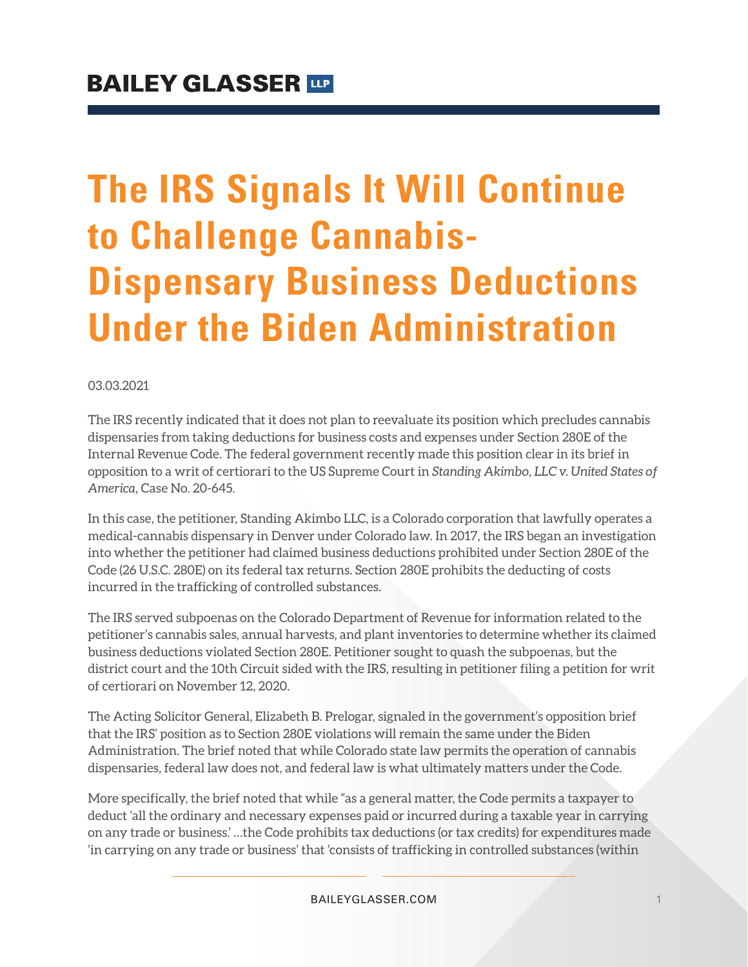# **The IRS Signals It Will Continue to Challenge Cannabis-Dispensary Business Deductions Under the Biden Administration**

#### 03.03.2021

The IRS recently indicated that it does not plan to reevaluate its position which precludes cannabis dispensaries from taking deductions for business costs and expenses under Section 280E of the Internal Revenue Code. The federal government recently made this position clear in its brief in opposition to a writ of certiorari to the US Supreme Court in *Standing Akimbo, LLC v. United States of America*, Case No. 20-645.

In this case, the petitioner, Standing Akimbo LLC, is a Colorado corporation that lawfully operates a medical-cannabis dispensary in Denver under Colorado law. In 2017, the IRS began an investigation into whether the petitioner had claimed business deductions prohibited under Section 280E of the Code (26 U.S.C. 280E) on its federal tax returns. Section 280E prohibits the deducting of costs incurred in the trafficking of controlled substances.

The IRS served subpoenas on the Colorado Department of Revenue for information related to the petitioner's cannabis sales, annual harvests, and plant inventories to determine whether its claimed business deductions violated Section 280E. Petitioner sought to quash the subpoenas, but the district court and the 10th Circuit sided with the IRS, resulting in petitioner filing a petition for writ of certiorari on November 12, 2020.

The Acting Solicitor General, Elizabeth B. Prelogar, signaled in the government's opposition brief that the IRS' position as to Section 280E violations will remain the same under the Biden Administration. The brief noted that while Colorado state law permits the operation of cannabis dispensaries, federal law does not, and federal law is what ultimately matters under the Code.

More specifically, the brief noted that while "as a general matter, the Code permits a taxpayer to deduct 'all the ordinary and necessary expenses paid or incurred during a taxable year in carrying on any trade or business.' …the Code prohibits tax deductions (or tax credits) for expenditures made 'in carrying on any trade or business' that 'consists of trafficking in controlled substances (within